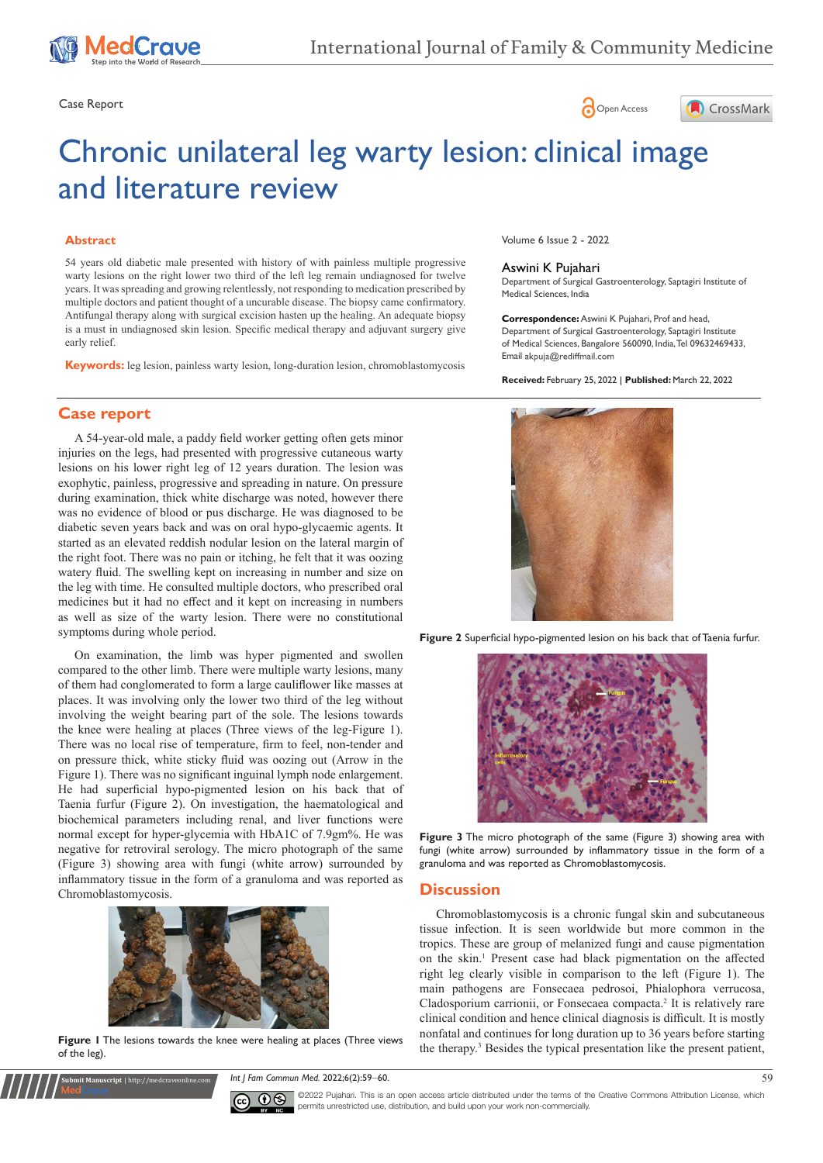





# Chronic unilateral leg warty lesion: clinical image and literature review

#### **Abstract**

54 years old diabetic male presented with history of with painless multiple progressive warty lesions on the right lower two third of the left leg remain undiagnosed for twelve years. It was spreading and growing relentlessly, not responding to medication prescribed by multiple doctors and patient thought of a uncurable disease. The biopsy came confirmatory. Antifungal therapy along with surgical excision hasten up the healing. An adequate biopsy is a must in undiagnosed skin lesion. Specific medical therapy and adjuvant surgery give early relief.

**Keywords:** leg lesion, painless warty lesion, long-duration lesion, chromoblastomycosis

## **Case report**

A 54-year-old male, a paddy field worker getting often gets minor injuries on the legs, had presented with progressive cutaneous warty lesions on his lower right leg of 12 years duration. The lesion was exophytic, painless, progressive and spreading in nature. On pressure during examination, thick white discharge was noted, however there was no evidence of blood or pus discharge. He was diagnosed to be diabetic seven years back and was on oral hypo-glycaemic agents. It started as an elevated reddish nodular lesion on the lateral margin of the right foot. There was no pain or itching, he felt that it was oozing watery fluid. The swelling kept on increasing in number and size on the leg with time. He consulted multiple doctors, who prescribed oral medicines but it had no effect and it kept on increasing in numbers as well as size of the warty lesion. There were no constitutional symptoms during whole period.

On examination, the limb was hyper pigmented and swollen compared to the other limb. There were multiple warty lesions, many of them had conglomerated to form a large cauliflower like masses at places. It was involving only the lower two third of the leg without involving the weight bearing part of the sole. The lesions towards the knee were healing at places (Three views of the leg-Figure 1). There was no local rise of temperature, firm to feel, non-tender and on pressure thick, white sticky fluid was oozing out (Arrow in the Figure 1). There was no significant inguinal lymph node enlargement. He had superficial hypo-pigmented lesion on his back that of Taenia furfur (Figure 2). On investigation, the haematological and biochemical parameters including renal, and liver functions were normal except for hyper-glycemia with HbA1C of 7.9gm%. He was negative for retroviral serology. The micro photograph of the same (Figure 3) showing area with fungi (white arrow) surrounded by inflammatory tissue in the form of a granuloma and was reported as Chromoblastomycosis.



**Figure 1** The lesions towards the knee were healing at places (Three views of the leg).

**Submit Manuscript** | http://medcraveonline.com

*Int J Fam Commun Med.* 2022;6(2):59‒60. 59



Volume 6 Issue 2 - 2022

#### Aswini K Pujahari

Department of Surgical Gastroenterology, Saptagiri Institute of Medical Sciences, India

**Correspondence:** Aswini K Pujahari, Prof and head, Department of Surgical Gastroenterology, Saptagiri Institute of Medical Sciences, Bangalore 560090, India, Tel 09632469433, Email akpuja@rediffmail.com

**Received:** February 25, 2022 | **Published:** March 22, 2022



**Figure 2** Superficial hypo-pigmented lesion on his back that of Taenia furfur.



**Figure 3** The micro photograph of the same (Figure 3) showing area with fungi (white arrow) surrounded by inflammatory tissue in the form of a granuloma and was reported as Chromoblastomycosis.

#### **Discussion**

Chromoblastomycosis is a chronic fungal skin and subcutaneous tissue infection. It is seen worldwide but more common in the tropics. These are group of melanized fungi and cause pigmentation on the skin.<sup>1</sup> Present case had black pigmentation on the affected right leg clearly visible in comparison to the left (Figure 1). The main pathogens are Fonsecaea pedrosoi, Phialophora verrucosa, Cladosporium carrionii, or Fonsecaea compacta.<sup>2</sup> It is relatively rare clinical condition and hence clinical diagnosis is difficult. It is mostly nonfatal and continues for long duration up to 36 years before starting the therapy.3 Besides the typical presentation like the present patient,

©2022 Pujahari. This is an open access article distributed under the terms of the [Creative Commons Attribution License](https://creativecommons.org/licenses/by-nc/4.0/), which permits unrestricted use, distribution, and build upon your work non-commercially.